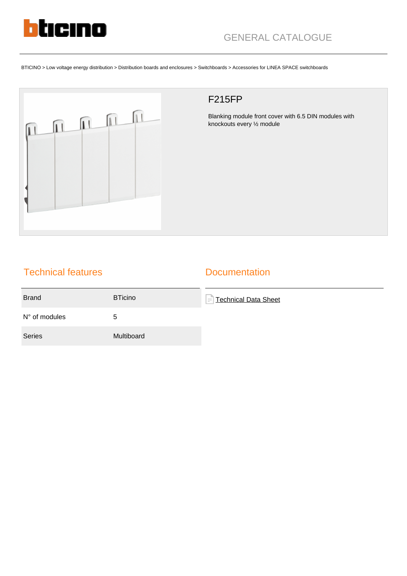

BTICINO > Low voltage energy distribution > Distribution boards and enclosures > Switchboards > Accessories for LINEA SPACE switchboards



## F215FP

Blanking module front cover with 6.5 DIN modules with knockouts every ½ module

## Technical features

### **Documentation**

| <b>Brand</b>           | <b>BTicino</b> | $\left =\right $ Technical Data Sheet |
|------------------------|----------------|---------------------------------------|
| $N^{\circ}$ of modules | 5              |                                       |
| <b>Series</b>          | Multiboard     |                                       |